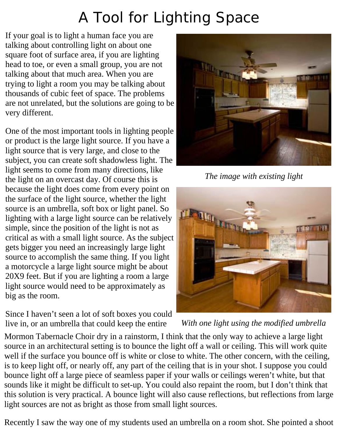## A Tool for Lighting Space

If your goal is to light a human face you are talking about controlling light on about one square foot of surface area, if you are lighting head to toe, or even a small group, you are not talking about that much area. When you are trying to light a room you may be talking about thousands of cubic feet of space. The problems are not unrelated, but the solutions are going to be very different.

One of the most important tools in lighting people or product is the large light source. If you have a light source that is very large, and close to the subject, you can create soft shadowless light. The light seems to come from many directions, like the light on an overcast day. Of course this is because the light does come from every point on the surface of the light source, whether the light source is an umbrella, soft box or light panel. So lighting with a large light source can be relatively simple, since the position of the light is not as critical as with a small light source. As the subject gets bigger you need an increasingly large light source to accomplish the same thing. If you light a motorcycle a large light source might be about 20X9 feet. But if you are lighting a room a large light source would need to be approximately as big as the room.

Since I haven't seen a lot of soft boxes you could live in, or an umbrella that could keep the entire



*The image with existing light*



*With one light using the modified umbrella*

Mormon Tabernacle Choir dry in a rainstorm, I think that the only way to achieve a large light source in an architectural setting is to bounce the light off a wall or ceiling. This will work quite well if the surface you bounce off is white or close to white. The other concern, with the ceiling, is to keep light off, or nearly off, any part of the ceiling that is in your shot. I suppose you could bounce light off a large piece of seamless paper if your walls or ceilings weren't white, but that sounds like it might be difficult to set-up. You could also repaint the room, but I don't think that this solution is very practical. A bounce light will also cause reflections, but reflections from large light sources are not as bright as those from small light sources.

Recently I saw the way one of my students used an umbrella on a room shot. She pointed a shoot